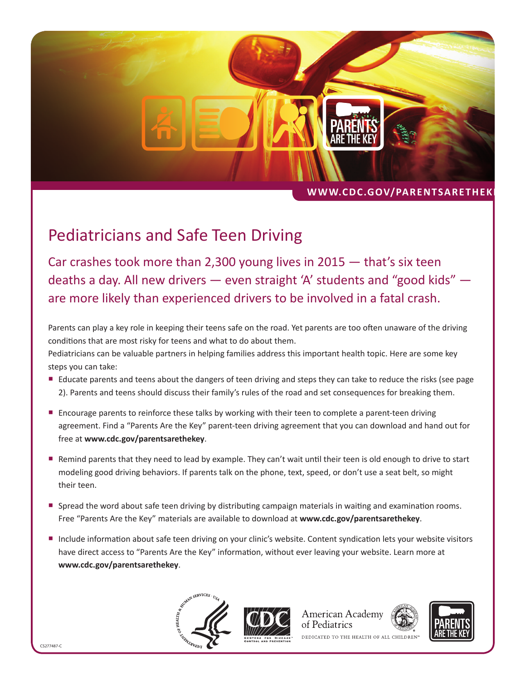

## WWW.CDC.GOV/PARENTSARETHEK

## Pediatricians and Safe Teen Driving

Car crashes took more than 2,300 young lives in 2015 — that's six teen deaths a day. All new drivers — even straight 'A' students and "good kids" are more likely than experienced drivers to be involved in a fatal crash.

Parents can play a key role in keeping their teens safe on the road. Yet parents are too often unaware of the driving conditions that are most risky for teens and what to do about them.

Pediatricians can be valuable partners in helping families address this important health topic. Here are some key steps you can take:

- Educate parents and teens about the dangers of teen driving and steps they can take to reduce the risks (see page 2). Parents and teens should discuss their family's rules of the road and set consequences for breaking them.
- **Encourage parents to reinforce these talks by working with their teen to complete a parent-teen driving** agreement. Find a "Parents Are the Key" parent-teen driving agreement that you can download and hand out for free at **[www.cdc.gov/parentsarethekey](http://www.cdc.gov/parentsarethekey)**.
- Remind parents that they need to lead by example. They can't wait until their teen is old enough to drive to start modeling good driving behaviors. If parents talk on the phone, text, speed, or don't use a seat belt, so might their teen.
- **Spread the word about safe teen driving by distributing campaign materials in waiting and examination rooms.** Free "Parents Are the Key" materials are available to download at **[www.cdc.gov/parentsarethekey](http://www.cdc.gov/parentsarethekey)**.
- Include information about safe teen driving on your clinic's website. Content syndication lets your website visitors have direct access to "Parents Are the Key" information, without ever leaving your website. Learn more at **[www.cdc.gov/parentsarethekey](http://www.cdc.gov/parentsarethekey)**.